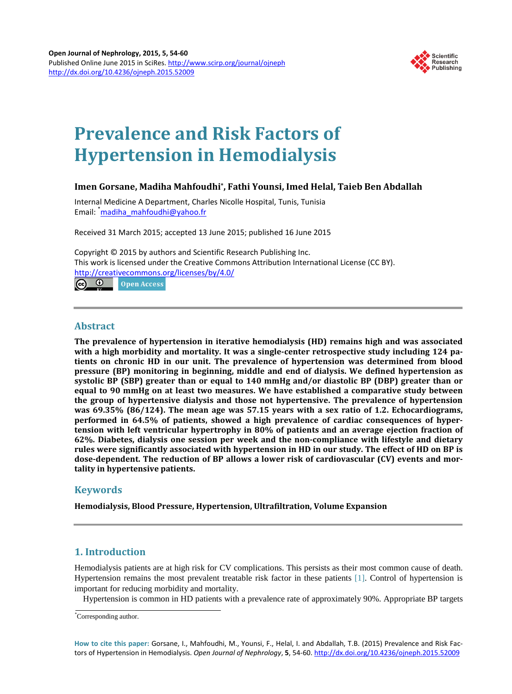

# **Prevalence and Risk Factors of Hypertension in Hemodialysis**

## **Imen Gorsane, Madiha Mahfoudhi\*, Fathi Younsi, Imed Helal, Taieb Ben Abdallah**

Internal Medicine A Department, Charles Nicolle Hospital, Tunis, Tunisia Email: <sup>\*</sup>[madiha\\_mahfoudhi@yahoo.fr](mailto:madiha_mahfoudhi@yahoo.fr)

Received 31 March 2015; accepted 13 June 2015; published 16 June 2015

Copyright © 2015 by authors and Scientific Research Publishing Inc. This work is licensed under the Creative Commons Attribution International License (CC BY). <http://creativecommons.org/licenses/by/4.0/> **രെ** ര **Open Access** 

## **Abstract**

**The prevalence of hypertension in iterative hemodialysis (HD) remains high and was associated with a high morbidity and mortality. It was a single-center retrospective study including 124 patients on chronic HD in our unit. The prevalence of hypertension was determined from blood pressure (BP) monitoring in beginning, middle and end of dialysis. We defined hypertension as systolic BP (SBP) greater than or equal to 140 mmHg and/or diastolic BP (DBP) greater than or equal to 90 mmHg on at least two measures. We have established a comparative study between the group of hypertensive dialysis and those not hypertensive. The prevalence of hypertension was 69.35% (86/124). The mean age was 57.15 years with a sex ratio of 1.2. Echocardiograms, performed in 64.5% of patients, showed a high prevalence of cardiac consequences of hypertension with left ventricular hypertrophy in 80% of patients and an average ejection fraction of 62%. Diabetes, dialysis one session per week and the non-compliance with lifestyle and dietary rules were significantly associated with hypertension in HD in our study. The effect of HD on BP is dose-dependent. The reduction of BP allows a lower risk of cardiovascular (CV) events and mortality in hypertensive patients.**

# **Keywords**

**Hemodialysis, Blood Pressure, Hypertension, Ultrafiltration, Volume Expansion**

# **1. Introduction**

Hemodialysis patients are at high risk for CV complications. This persists as their most common cause of death. Hypertension remains the most prevalent treatable risk factor in these patients [\[1\].](#page-4-0) Control of hypertension is important for reducing morbidity and mortality.

Hypertension is common in HD patients with a prevalence rate of approximately 90%. Appropriate BP targets

**How to cite this paper:** Gorsane, I., Mahfoudhi, M., Younsi, F., Helal, I. and Abdallah, T.B. (2015) Prevalence and Risk Factors of Hypertension in Hemodialysis. *Open Journal of Nephrology*, **5**, 54-60. <http://dx.doi.org/10.4236/ojneph.2015.52009>

<sup>\*</sup> Corresponding author.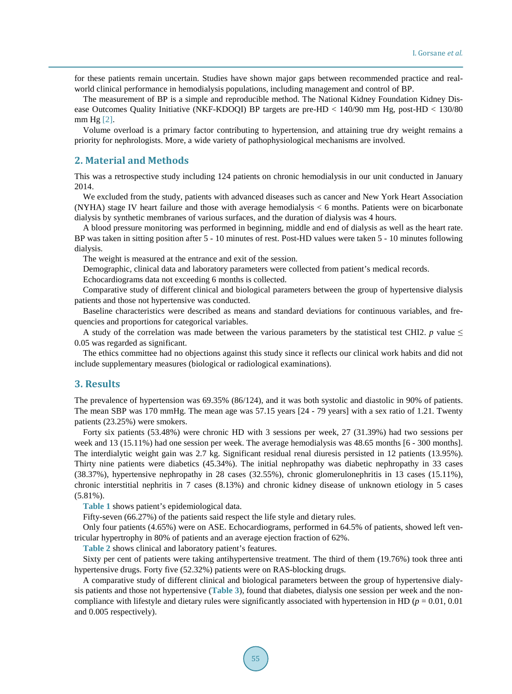for these patients remain uncertain. Studies have shown major gaps between recommended practice and realworld clinical performance in hemodialysis populations, including management and control of BP.

The measurement of BP is a simple and reproducible method. The National Kidney Foundation Kidney Disease Outcomes Quality Initiative (NKF-KDOQI) BP targets are pre-HD < 140/90 mm Hg, post-HD < 130/80 mm Hg [\[2\].](#page-4-1)

Volume overload is a primary factor contributing to hypertension, and attaining true dry weight remains a priority for nephrologists. More, a wide variety of pathophysiological mechanisms are involved.

#### **2. Material and Methods**

This was a retrospective study including 124 patients on chronic hemodialysis in our unit conducted in January 2014.

We excluded from the study, patients with advanced diseases such as cancer and New York Heart Association (NYHA) stage IV heart failure and those with average hemodialysis < 6 months. Patients were on bicarbonate dialysis by synthetic membranes of various surfaces, and the duration of dialysis was 4 hours.

A blood pressure monitoring was performed in beginning, middle and end of dialysis as well as the heart rate. BP was taken in sitting position after 5 - 10 minutes of rest. Post-HD values were taken 5 - 10 minutes following dialysis.

The weight is measured at the entrance and exit of the session.

Demographic, clinical data and laboratory parameters were collected from patient's medical records.

Echocardiograms data not exceeding 6 months is collected.

Comparative study of different clinical and biological parameters between the group of hypertensive dialysis patients and those not hypertensive was conducted.

Baseline characteristics were described as means and standard deviations for continuous variables, and frequencies and proportions for categorical variables.

A study of the correlation was made between the various parameters by the statistical test CHI2. *p* value  $\leq$ 0.05 was regarded as significant.

The ethics committee had no objections against this study since it reflects our clinical work habits and did not include supplementary measures (biological or radiological examinations).

#### **3. Results**

The prevalence of hypertension was 69.35% (86/124), and it was both systolic and diastolic in 90% of patients. The mean SBP was 170 mmHg. The mean age was 57.15 years [24 - 79 years] with a sex ratio of 1.21. Twenty patients (23.25%) were smokers.

Forty six patients (53.48%) were chronic HD with 3 sessions per week, 27 (31.39%) had two sessions per week and 13 (15.11%) had one session per week. The average hemodialysis was 48.65 months [6 - 300 months]. The interdialytic weight gain was 2.7 kg. Significant residual renal diuresis persisted in 12 patients (13.95%). Thirty nine patients were diabetics (45.34%). The initial nephropathy was diabetic nephropathy in 33 cases (38.37%), hypertensive nephropathy in 28 cases (32.55%), chronic glomerulonephritis in 13 cases (15.11%), chronic interstitial nephritis in 7 cases (8.13%) and chronic kidney disease of unknown etiology in 5 cases (5.81%).

**[Table 1](#page-2-0)** shows patient's epidemiological data.

Fifty-seven (66.27%) of the patients said respect the life style and dietary rules.

Only four patients (4.65%) were on ASE. Echocardiograms, performed in 64.5% of patients, showed left ventricular hypertrophy in 80% of patients and an average ejection fraction of 62%.

**[Table 2](#page-2-1)** shows clinical and laboratory patient's features.

Sixty per cent of patients were taking antihypertensive treatment. The third of them (19.76%) took three anti hypertensive drugs. Forty five (52.32%) patients were on RAS-blocking drugs.

A comparative study of different clinical and biological parameters between the group of hypertensive dialysis patients and those not hypertensive (**[Table 3](#page-3-0)**), found that diabetes, dialysis one session per week and the noncompliance with lifestyle and dietary rules were significantly associated with hypertension in HD (*p* = 0.01, 0.01 and 0.005 respectively).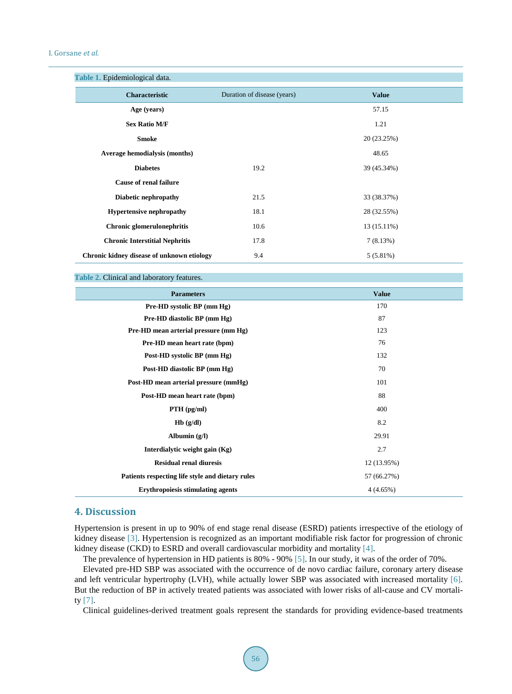<span id="page-2-0"></span>

| Table 1. Epidemiological data.             |                             |              |  |
|--------------------------------------------|-----------------------------|--------------|--|
| <b>Characteristic</b>                      | Duration of disease (years) | <b>Value</b> |  |
| Age (years)                                |                             | 57.15        |  |
| <b>Sex Ratio M/F</b>                       |                             | 1.21         |  |
| <b>Smoke</b>                               |                             | 20 (23.25%)  |  |
| <b>Average hemodialysis (months)</b>       |                             | 48.65        |  |
| <b>Diabetes</b>                            | 19.2                        | 39 (45.34%)  |  |
| <b>Cause of renal failure</b>              |                             |              |  |
| Diabetic nephropathy                       | 21.5                        | 33 (38.37%)  |  |
| <b>Hypertensive nephropathy</b>            | 18.1                        | 28 (32.55%)  |  |
| Chronic glomerulonephritis                 | 10.6                        | 13 (15.11%)  |  |
| <b>Chronic Interstitial Nephritis</b>      | 17.8                        | 7(8.13%)     |  |
| Chronic kidney disease of unknown etiology | 9.4                         | $5(5.81\%)$  |  |

<span id="page-2-1"></span>**Table 2.** Clinical and laboratory features.

| <b>Parameters</b>                                | <b>Value</b> |
|--------------------------------------------------|--------------|
| Pre-HD systolic BP (mm Hg)                       | 170          |
| Pre-HD diastolic BP (mm Hg)                      | 87           |
| Pre-HD mean arterial pressure (mm Hg)            | 123          |
| Pre-HD mean heart rate (bpm)                     | 76           |
| Post-HD systolic BP (mm Hg)                      | 132          |
| Post-HD diastolic BP (mm Hg)                     | 70           |
| Post-HD mean arterial pressure (mmHg)            | 101          |
| Post-HD mean heart rate (bpm)                    | 88           |
| $PTH$ (pg/ml)                                    | 400          |
| Hb(g/dl)                                         | 8.2          |
| Albumin $(g/I)$                                  | 29.91        |
| Interdialytic weight gain (Kg)                   | 2.7          |
| <b>Residual renal diuresis</b>                   | 12 (13.95%)  |
| Patients respecting life style and dietary rules | 57 (66.27%)  |
| <b>Erythropoiesis stimulating agents</b>         | 4(4.65%)     |
|                                                  |              |

## **4. Discussion**

Hypertension is present in up to 90% of end stage renal disease (ESRD) patients irrespective of the etiology of kidney disease [\[3\].](#page-4-2) Hypertension is recognized as an important modifiable risk factor for progression of chronic kidney disease (CKD) to ESRD and overall cardiovascular morbidity and mortality [\[4\].](#page-4-3)

The prevalence of hypertension in HD patients is 80% - 90% [\[5\].](#page-5-0) In our study, it was of the order of 70%.

Elevated pre-HD SBP was associated with the occurrence of de novo cardiac failure, coronary artery disease and left ventricular hypertrophy (LVH), while actually lower SBP was associated with increased mortality [\[6\].](#page-5-1) But the reduction of BP in actively treated patients was associated with lower risks of all-cause and CV mortality [\[7\].](#page-5-2)

Clinical guidelines-derived treatment goals represent the standards for providing evidence-based treatments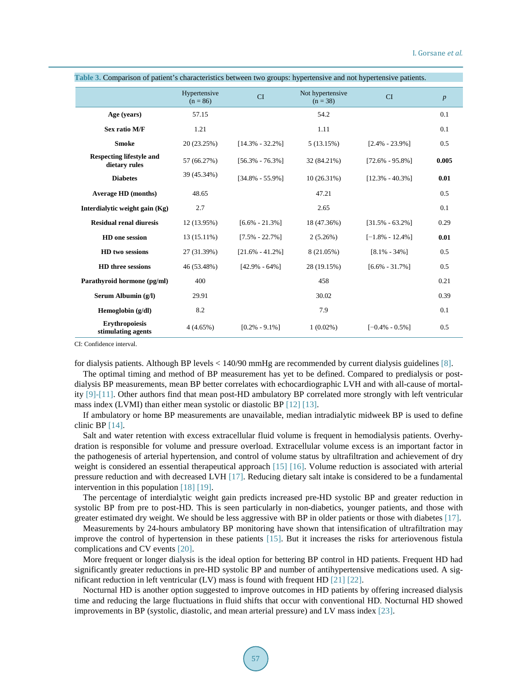| rabic 9. Comparison or patient s'enaracterístics between two groups. Hypertensive and not hypertensive patients |                            |                     |                                |                     |                  |  |  |
|-----------------------------------------------------------------------------------------------------------------|----------------------------|---------------------|--------------------------------|---------------------|------------------|--|--|
|                                                                                                                 | Hypertensive<br>$(n = 86)$ | <b>CI</b>           | Not hypertensive<br>$(n = 38)$ | <b>CI</b>           | $\boldsymbol{p}$ |  |  |
| Age (years)                                                                                                     | 57.15                      |                     | 54.2                           |                     | 0.1              |  |  |
| Sex ratio M/F                                                                                                   | 1.21                       |                     | 1.11                           |                     | 0.1              |  |  |
| <b>Smoke</b>                                                                                                    | 20 (23.25%)                | $[14.3\% - 32.2\%]$ | 5(13.15%)                      | $[2.4\% - 23.9\%]$  | 0.5              |  |  |
| <b>Respecting lifestyle and</b><br>dietary rules                                                                | 57 (66.27%)                | $[56.3\% - 76.3\%]$ | 32 (84.21%)                    | $[72.6\% - 95.8\%]$ | 0.005            |  |  |
| <b>Diabetes</b>                                                                                                 | 39 (45.34%)                | $[34.8\% - 55.9\%]$ | 10(26.31%)                     | $[12.3\% - 40.3\%]$ | 0.01             |  |  |
| <b>Average HD (months)</b>                                                                                      | 48.65                      |                     | 47.21                          |                     | 0.5              |  |  |
| Interdialytic weight gain (Kg)                                                                                  | 2.7                        |                     | 2.65                           |                     | 0.1              |  |  |
| <b>Residual renal diuresis</b>                                                                                  | 12 (13.95%)                | $[6.6\% - 21.3\%]$  | 18 (47.36%)                    | $[31.5\% - 63.2\%]$ | 0.29             |  |  |
| HD one session                                                                                                  | $13(15.11\%)$              | $[7.5\% - 22.7\%]$  | 2(5.26%)                       | $[-1.8\% - 12.4\%]$ | 0.01             |  |  |
| HD two sessions                                                                                                 | 27 (31.39%)                | $[21.6\% - 41.2\%]$ | 8 (21.05%)                     | $[8.1\% - 34\%]$    | 0.5              |  |  |
| <b>HD</b> three sessions                                                                                        | 46 (53.48%)                | $[42.9\% - 64\%]$   | 28 (19.15%)                    | $[6.6\% - 31.7\%]$  | 0.5              |  |  |
| Parathyroid hormone (pg/ml)                                                                                     | 400                        |                     | 458                            |                     | 0.21             |  |  |
| Serum Albumin (g/l)                                                                                             | 29.91                      |                     | 30.02                          |                     | 0.39             |  |  |
| Hemoglobin (g/dl)                                                                                               | 8.2                        |                     | 7.9                            |                     | 0.1              |  |  |
| <b>Erythropoiesis</b><br>stimulating agents                                                                     | 4(4.65%)                   | $[0.2\% - 9.1\%]$   | $1(0.02\%)$                    | $[-0.4\% - 0.5\%]$  | 0.5              |  |  |

<span id="page-3-0"></span>**Table 3.** Comparison of patient's characteristics between two groups: hypertensive and not hypertensive patients.

CI: Confidence interval.

for dialysis patients. Although BP levels < 140/90 mmHg are recommended by current dialysis guidelines [\[8\].](#page-5-3)

The optimal timing and method of BP measurement has yet to be defined. Compared to predialysis or postdialysis BP measurements, mean BP better correlates with echocardiographic LVH and with all-cause of mortality [\[9\]-](#page-5-4)[\[11\].](#page-5-5) Other authors find that mean post-HD ambulatory BP correlated more strongly with left ventricular mass index (LVMI) than either mean systolic or diastolic BP [\[12\]](#page-5-6) [\[13\].](#page-5-7)

If ambulatory or home BP measurements are unavailable, median intradialytic midweek BP is used to define clinic BP [\[14\].](#page-5-8)

Salt and water retention with excess extracellular fluid volume is frequent in hemodialysis patients. Overhydration is responsible for volume and pressure overload. Extracellular volume excess is an important factor in the pathogenesis of arterial hypertension, and control of volume status by ultrafiltration and achievement of dry weight is considered an essential therapeutical approach [\[15\]](#page-5-9) [\[16\].](#page-5-10) Volume reduction is associated with arterial pressure reduction and with decreased LVH [\[17\].](#page-5-11) Reducing dietary salt intake is considered to be a fundamental intervention in this population [\[18\]](#page-5-12) [\[19\].](#page-5-13)

The percentage of interdialytic weight gain predicts increased pre-HD systolic BP and greater reduction in systolic BP from pre to post-HD. This is seen particularly in non-diabetics, younger patients, and those with greater estimated dry weight. We should be less aggressive with BP in older patients or those with diabetes [\[17\].](#page-5-11)

Measurements by 24-hours ambulatory BP monitoring have shown that intensification of ultrafiltration may improve the control of hypertension in these patients [\[15\].](#page-5-9) But it increases the risks for arteriovenous fistula complications and CV events [\[20\].](#page-5-14)

More frequent or longer dialysis is the ideal option for bettering BP control in HD patients. Frequent HD had significantly greater reductions in pre-HD systolic BP and number of antihypertensive medications used. A significant reduction in left ventricular (LV) mass is found with frequent HD  $[21]$   $[22]$ .

Nocturnal HD is another option suggested to improve outcomes in HD patients by offering increased dialysis time and reducing the large fluctuations in fluid shifts that occur with conventional HD. Nocturnal HD showed improvements in BP (systolic, diastolic, and mean arterial pressure) and LV mass index [\[23\].](#page-5-17)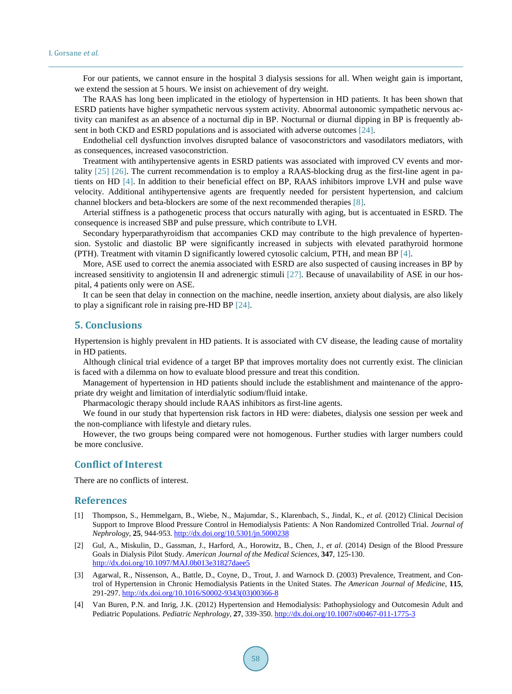For our patients, we cannot ensure in the hospital 3 dialysis sessions for all. When weight gain is important, we extend the session at 5 hours. We insist on achievement of dry weight.

The RAAS has long been implicated in the etiology of hypertension in HD patients. It has been shown that ESRD patients have higher sympathetic nervous system activity. Abnormal autonomic sympathetic nervous activity can manifest as an absence of a nocturnal dip in BP. Nocturnal or diurnal dipping in BP is frequently absent in both CKD and ESRD populations and is associated with adverse outcomes [\[24\].](#page-5-18)

Endothelial cell dysfunction involves disrupted balance of vasoconstrictors and vasodilators mediators, with as consequences, increased vasoconstriction.

Treatment with antihypertensive agents in ESRD patients was associated with improved CV events and mortality [\[25\]](#page-6-0) [\[26\].](#page-6-1) The current recommendation is to employ a RAAS-blocking drug as the first-line agent in patients on HD [\[4\].](#page-4-3) In addition to their beneficial effect on BP, RAAS inhibitors improve LVH and pulse wave velocity. Additional antihypertensive agents are frequently needed for persistent hypertension, and calcium channel blockers and beta-blockers are some of the next recommended therapies [\[8\].](#page-5-3)

Arterial stiffness is a pathogenetic process that occurs naturally with aging, but is accentuated in ESRD. The consequence is increased SBP and pulse pressure, which contribute to LVH.

Secondary hyperparathyroidism that accompanies CKD may contribute to the high prevalence of hypertension. Systolic and diastolic BP were significantly increased in subjects with elevated parathyroid hormone (PTH). Treatment with vitamin D significantly lowered cytosolic calcium, PTH, and mean BP [\[4\].](#page-4-3)

More, ASE used to correct the anemia associated with ESRD are also suspected of causing increases in BP by increased sensitivity to angiotensin II and adrenergic stimuli [\[27\].](#page-6-2) Because of unavailability of ASE in our hospital, 4 patients only were on ASE.

It can be seen that delay in connection on the machine, needle insertion, anxiety about dialysis, are also likely to play a significant role in raising pre-HD BP [\[24\].](#page-5-18)

#### **5. Conclusions**

Hypertension is highly prevalent in HD patients. It is associated with CV disease, the leading cause of mortality in HD patients.

Although clinical trial evidence of a target BP that improves mortality does not currently exist. The clinician is faced with a dilemma on how to evaluate blood pressure and treat this condition.

Management of hypertension in HD patients should include the establishment and maintenance of the appropriate dry weight and limitation of interdialytic sodium/fluid intake.

Pharmacologic therapy should include RAAS inhibitors as first-line agents.

We found in our study that hypertension risk factors in HD were: diabetes, dialysis one session per week and the non-compliance with lifestyle and dietary rules.

However, the two groups being compared were not homogenous. Further studies with larger numbers could be more conclusive.

#### **Conflict of Interest**

There are no conflicts of interest.

#### **References**

- <span id="page-4-0"></span>[1] Thompson, S., Hemmelgarn, B., Wiebe, N., Majumdar, S., Klarenbach, S., Jindal, K., *et al.* (2012) Clinical Decision Support to Improve Blood Pressure Control in Hemodialysis Patients: A Non Randomized Controlled Trial. *Journal of Nephrology*, **25**, 944-953. <http://dx.doi.org/10.5301/jn.5000238>
- <span id="page-4-1"></span>[2] Gul, A., Miskulin, D., Gassman, J., Harford, A., Horowitz, B., Chen, J., *et al*. (2014) Design of the Blood Pressure Goals in Dialysis Pilot Study. *American Journal of the Medical Sciences*, **347**, 125-130. <http://dx.doi.org/10.1097/MAJ.0b013e31827daee5>
- <span id="page-4-2"></span>[3] Agarwal, R., Nissenson, A., Battle, D., Coyne, D., Trout, J. and Warnock D. (2003) Prevalence, Treatment, and Control of Hypertension in Chronic Hemodialysis Patients in the United States. *The American Journal of Medicine*, **115**, 291-297. [http://dx.doi.org/10.1016/S0002-9343\(03\)00366-8](http://dx.doi.org/10.1016/S0002-9343(03)00366-8)
- <span id="page-4-3"></span>[4] Van Buren, P.N. and Inrig, J.K. (2012) Hypertension and Hemodialysis: Pathophysiology and Outcomesin Adult and Pediatric Populations. *Pediatric Nephrology*, **27**, 339-350. <http://dx.doi.org/10.1007/s00467-011-1775-3>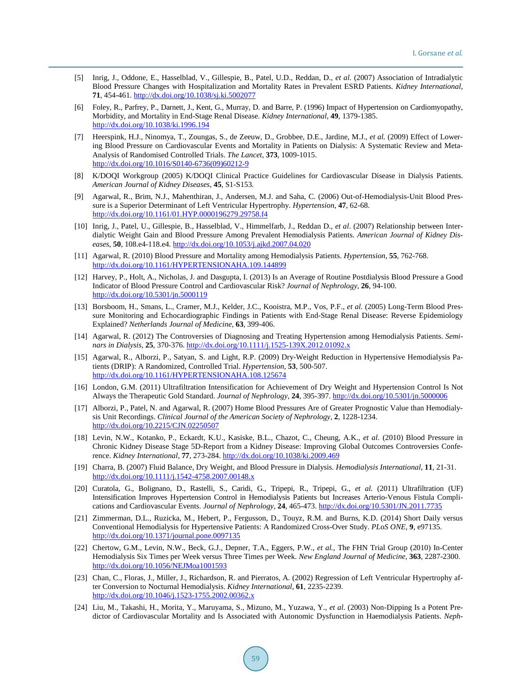- <span id="page-5-0"></span>[5] Inrig, J., Oddone, E., Hasselblad, V., Gillespie, B., Patel, U.D., Reddan, D., *et al*. (2007) Association of Intradialytic Blood Pressure Changes with Hospitalization and Mortality Rates in Prevalent ESRD Patients. *Kidney International*, **71**, 454-461. <http://dx.doi.org/10.1038/sj.ki.5002077>
- <span id="page-5-1"></span>[6] Foley, R., Parfrey, P., Darnett, J., Kent, G., Murray, D. and Barre, P. (1996) Impact of Hypertension on Cardiomyopathy, Morbidity, and Mortality in End-Stage Renal Disease. *Kidney International*, **49**, 1379-1385. <http://dx.doi.org/10.1038/ki.1996.194>
- <span id="page-5-2"></span>[7] Heerspink, H.J., Ninomya, T., Zoungas, S., de Zeeuw, D., Grobbee, D.E., Jardine, M.J., *et al.* (2009) Effect of Lowering Blood Pressure on Cardiovascular Events and Mortality in Patients on Dialysis: A Systematic Review and Meta-Analysis of Randomised Controlled Trials. *The Lancet*, **373**, 1009-1015. [http://dx.doi.org/10.1016/S0140-6736\(09\)60212-9](http://dx.doi.org/10.1016/S0140-6736(09)60212-9)
- <span id="page-5-3"></span>[8] K/DOQI Workgroup (2005) K/DOQI Clinical Practice Guidelines for Cardiovascular Disease in Dialysis Patients. *American Journal of Kidney Diseases*, **45**, S1-S153.
- <span id="page-5-4"></span>[9] Agarwal, R., Brim, N.J., Mahenthiran, J., Andersen, M.J. and Saha, C. (2006) Out-of-Hemodialysis-Unit Blood Pressure is a Superior Determinant of Left Ventricular Hypertrophy. *Hypertension*, **47**, 62-68. <http://dx.doi.org/10.1161/01.HYP.0000196279.29758.f4>
- [10] Inrig, J., Patel, U., Gillespie, B., Hasselblad, V., Himmelfarb, J., Reddan D., *et al*. (2007) Relationship between Interdialytic Weight Gain and Blood Pressure Among Prevalent Hemodialysis Patients. *American Journal of Kidney Diseases*, **50**, 108.e4-118.e4. <http://dx.doi.org/10.1053/j.ajkd.2007.04.020>
- <span id="page-5-5"></span>[11] Agarwal, R. (2010) Blood Pressure and Mortality among Hemodialysis Patients. *Hypertension*, **55**, 762-768. <http://dx.doi.org/10.1161/HYPERTENSIONAHA.109.144899>
- <span id="page-5-6"></span>[12] Harvey, P., Holt, A., Nicholas, J. and Dasgupta, I. (2013) Is an Average of Routine Postdialysis Blood Pressure a Good Indicator of Blood Pressure Control and Cardiovascular Risk? *Journal of Nephrology*, **26**, 94-100. <http://dx.doi.org/10.5301/jn.5000119>
- <span id="page-5-7"></span>[13] Borsboom, H., Smans, L., Cramer, M.J., Kelder, J.C., Kooistra, M.P., Vos, P.F., *et al.* (2005) Long-Term Blood Pressure Monitoring and Echocardiographic Findings in Patients with End-Stage Renal Disease: Reverse Epidemiology Explained? *Netherlands Journal of Medicine*, **63**, 399-406.
- <span id="page-5-8"></span>[14] Agarwal, R. (2012) The Controversies of Diagnosing and Treating Hypertension among Hemodialysis Patients. *Seminars in Dialysis*, **25**, 370-376. <http://dx.doi.org/10.1111/j.1525-139X.2012.01092.x>
- <span id="page-5-9"></span>[15] Agarwal, R., Alborzi, P., Satyan, S. and Light, R.P. (2009) Dry-Weight Reduction in Hypertensive Hemodialysis Patients (DRIP): A Randomized, Controlled Trial. *Hypertension*, **53**, 500-507. <http://dx.doi.org/10.1161/HYPERTENSIONAHA.108.125674>
- <span id="page-5-10"></span>[16] London, G.M. (2011) Ultrafiltration Intensification for Achievement of Dry Weight and Hypertension Control Is Not Always the Therapeutic Gold Standard. *Journal of Nephrology*, **24**, 395-397. <http://dx.doi.org/10.5301/jn.5000006>
- <span id="page-5-11"></span>[17] Alborzi, P., Patel, N. and Agarwal, R. (2007) Home Blood Pressures Are of Greater Prognostic Value than Hemodialysis Unit Recordings. *Clinical Journal of the American Society of Nephrology*, **2**, 1228-1234. <http://dx.doi.org/10.2215/CJN.02250507>
- <span id="page-5-12"></span>[18] Levin, N.W., Kotanko, P., Eckardt, K.U., Kasiske, B.L., Chazot, C., Cheung, A.K., *et al.* (2010) Blood Pressure in Chronic Kidney Disease Stage 5D-Report from a Kidney Disease: Improving Global Outcomes Controversies Conference. *Kidney International*, **77**, 273-284. <http://dx.doi.org/10.1038/ki.2009.469>
- <span id="page-5-13"></span>[19] Charra, B. (2007) Fluid Balance, Dry Weight, and Blood Pressure in Dialysis. *Hemodialysis International*, **11**, 21-31. <http://dx.doi.org/10.1111/j.1542-4758.2007.00148.x>
- <span id="page-5-14"></span>[20] Curatola, G., Bolignano, D., Rastelli, S., Caridi, G., Tripepi, R., Tripepi, G., *et al.* (2011) Ultrafiltration (UF) Intensification Improves Hypertension Control in Hemodialysis Patients but Increases Arterio-Venous Fistula Complications and Cardiovascular Events. *Journal of Nephrology*, **24**, 465-473. <http://dx.doi.org/10.5301/JN.2011.7735>
- <span id="page-5-15"></span>[21] Zimmerman, D.L., Ruzicka, M., Hebert, P., Fergusson, D., Touyz, R.M. and Burns, K.D. (2014) Short Daily versus Conventional Hemodialysis for Hypertensive Patients: A Randomized Cross-Over Study. *PLoS ONE*, **9**, e97135. <http://dx.doi.org/10.1371/journal.pone.0097135>
- <span id="page-5-16"></span>[22] Chertow, G.M., Levin, N.W., Beck, G.J., Depner, T.A., Eggers, P.W., *et al.*, The FHN Trial Group (2010) In-Center Hemodialysis Six Times per Week versus Three Times per Week. *New England Journal of Medicine*, **363**, 2287-2300. <http://dx.doi.org/10.1056/NEJMoa1001593>
- <span id="page-5-17"></span>[23] Chan, C., Floras, J., Miller, J., Richardson, R. and Pierratos, A. (2002) Regression of Left Ventricular Hypertrophy after Conversion to Nocturnal Hemodialysis. *Kidney International*, **61**, 2235-2239. <http://dx.doi.org/10.1046/j.1523-1755.2002.00362.x>
- <span id="page-5-18"></span>[24] Liu, M., Takashi, H., Morita, Y., Maruyama, S., Mizuno, M., Yuzawa, Y., *et al.* (2003) Non-Dipping Is a Potent Predictor of Cardiovascular Mortality and Is Associated with Autonomic Dysfunction in Haemodialysis Patients. *Neph-*